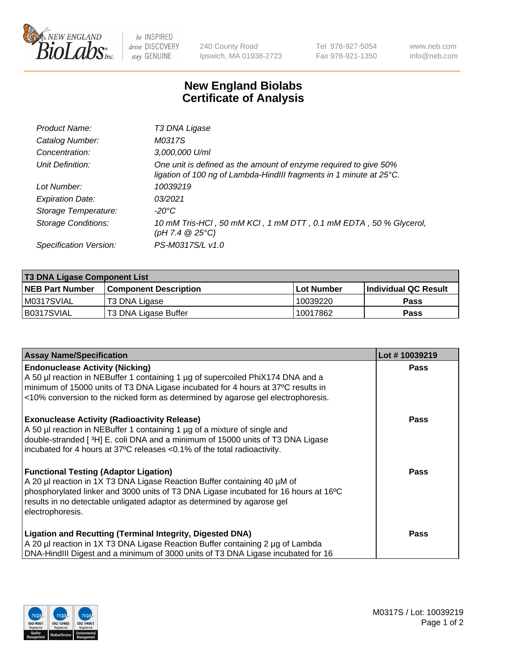

 $be$  INSPIRED drive DISCOVERY stay GENUINE

240 County Road Ipswich, MA 01938-2723 Tel 978-927-5054 Fax 978-921-1350 www.neb.com info@neb.com

## **New England Biolabs Certificate of Analysis**

| Product Name:              | T3 DNA Ligase                                                                                                                           |
|----------------------------|-----------------------------------------------------------------------------------------------------------------------------------------|
| Catalog Number:            | M0317S                                                                                                                                  |
| Concentration:             | 3,000,000 U/ml                                                                                                                          |
| Unit Definition:           | One unit is defined as the amount of enzyme required to give 50%<br>ligation of 100 ng of Lambda-HindIII fragments in 1 minute at 25°C. |
| Lot Number:                | 10039219                                                                                                                                |
| <b>Expiration Date:</b>    | 03/2021                                                                                                                                 |
| Storage Temperature:       | $-20^{\circ}$ C                                                                                                                         |
| <b>Storage Conditions:</b> | 10 mM Tris-HCI, 50 mM KCI, 1 mM DTT, 0.1 mM EDTA, 50 % Glycerol,<br>$(pH 7.4 \ @ 25^{\circ}C)$                                          |
| Specification Version:     | PS-M0317S/L v1.0                                                                                                                        |

| T3 DNA Ligase Component List |                              |              |                      |  |  |
|------------------------------|------------------------------|--------------|----------------------|--|--|
| <b>NEB Part Number</b>       | <b>Component Description</b> | l Lot Number | Individual QC Result |  |  |
| M0317SVIAL                   | T3 DNA Ligase                | 10039220     | <b>Pass</b>          |  |  |
| B0317SVIAL                   | 'T3 DNA Ligase Buffer        | 10017862     | <b>Pass</b>          |  |  |

| <b>Assay Name/Specification</b>                                                                                                                                                                                                                                                                                 | Lot #10039219 |
|-----------------------------------------------------------------------------------------------------------------------------------------------------------------------------------------------------------------------------------------------------------------------------------------------------------------|---------------|
| <b>Endonuclease Activity (Nicking)</b><br>A 50 µl reaction in NEBuffer 1 containing 1 µg of supercoiled PhiX174 DNA and a                                                                                                                                                                                       | <b>Pass</b>   |
| minimum of 15000 units of T3 DNA Ligase incubated for 4 hours at 37°C results in<br><10% conversion to the nicked form as determined by agarose gel electrophoresis.                                                                                                                                            |               |
| <b>Exonuclease Activity (Radioactivity Release)</b><br>A 50 µl reaction in NEBuffer 1 containing 1 µg of a mixture of single and<br>double-stranded [3H] E. coli DNA and a minimum of 15000 units of T3 DNA Ligase<br>incubated for 4 hours at 37°C releases <0.1% of the total radioactivity.                  | Pass          |
| <b>Functional Testing (Adaptor Ligation)</b><br>A 20 µl reaction in 1X T3 DNA Ligase Reaction Buffer containing 40 µM of<br>phosphorylated linker and 3000 units of T3 DNA Ligase incubated for 16 hours at 16°C<br>results in no detectable unligated adaptor as determined by agarose gel<br>electrophoresis. | Pass          |
| <b>Ligation and Recutting (Terminal Integrity, Digested DNA)</b><br>A 20 µl reaction in 1X T3 DNA Ligase Reaction Buffer containing 2 µg of Lambda<br>DNA-HindIII Digest and a minimum of 3000 units of T3 DNA Ligase incubated for 16                                                                          | Pass          |